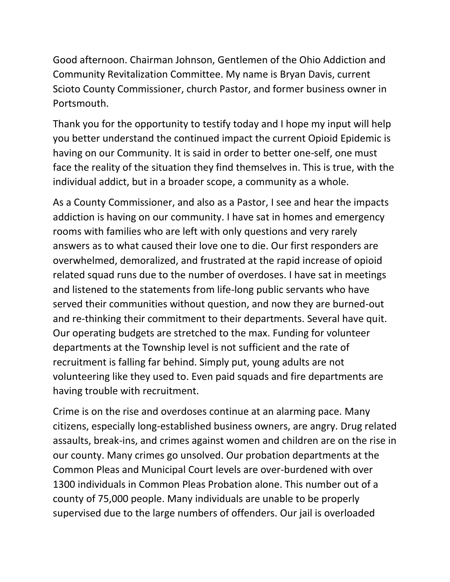Good afternoon. Chairman Johnson, Gentlemen of the Ohio Addiction and Community Revitalization Committee. My name is Bryan Davis, current Scioto County Commissioner, church Pastor, and former business owner in Portsmouth.

Thank you for the opportunity to testify today and I hope my input will help you better understand the continued impact the current Opioid Epidemic is having on our Community. It is said in order to better one-self, one must face the reality of the situation they find themselves in. This is true, with the individual addict, but in a broader scope, a community as a whole.

As a County Commissioner, and also as a Pastor, I see and hear the impacts addiction is having on our community. I have sat in homes and emergency rooms with families who are left with only questions and very rarely answers as to what caused their love one to die. Our first responders are overwhelmed, demoralized, and frustrated at the rapid increase of opioid related squad runs due to the number of overdoses. I have sat in meetings and listened to the statements from life-long public servants who have served their communities without question, and now they are burned-out and re-thinking their commitment to their departments. Several have quit. Our operating budgets are stretched to the max. Funding for volunteer departments at the Township level is not sufficient and the rate of recruitment is falling far behind. Simply put, young adults are not volunteering like they used to. Even paid squads and fire departments are having trouble with recruitment.

Crime is on the rise and overdoses continue at an alarming pace. Many citizens, especially long-established business owners, are angry. Drug related assaults, break-ins, and crimes against women and children are on the rise in our county. Many crimes go unsolved. Our probation departments at the Common Pleas and Municipal Court levels are over-burdened with over 1300 individuals in Common Pleas Probation alone. This number out of a county of 75,000 people. Many individuals are unable to be properly supervised due to the large numbers of offenders. Our jail is overloaded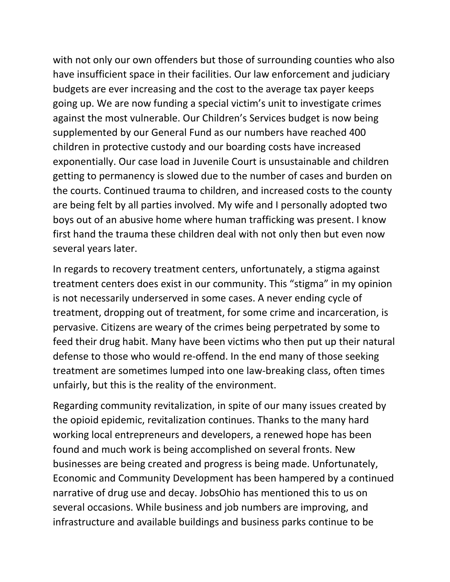with not only our own offenders but those of surrounding counties who also have insufficient space in their facilities. Our law enforcement and judiciary budgets are ever increasing and the cost to the average tax payer keeps going up. We are now funding a special victim's unit to investigate crimes against the most vulnerable. Our Children's Services budget is now being supplemented by our General Fund as our numbers have reached 400 children in protective custody and our boarding costs have increased exponentially. Our case load in Juvenile Court is unsustainable and children getting to permanency is slowed due to the number of cases and burden on the courts. Continued trauma to children, and increased costs to the county are being felt by all parties involved. My wife and I personally adopted two boys out of an abusive home where human trafficking was present. I know first hand the trauma these children deal with not only then but even now several years later.

In regards to recovery treatment centers, unfortunately, a stigma against treatment centers does exist in our community. This "stigma" in my opinion is not necessarily underserved in some cases. A never ending cycle of treatment, dropping out of treatment, for some crime and incarceration, is pervasive. Citizens are weary of the crimes being perpetrated by some to feed their drug habit. Many have been victims who then put up their natural defense to those who would re-offend. In the end many of those seeking treatment are sometimes lumped into one law-breaking class, often times unfairly, but this is the reality of the environment.

Regarding community revitalization, in spite of our many issues created by the opioid epidemic, revitalization continues. Thanks to the many hard working local entrepreneurs and developers, a renewed hope has been found and much work is being accomplished on several fronts. New businesses are being created and progress is being made. Unfortunately, Economic and Community Development has been hampered by a continued narrative of drug use and decay. JobsOhio has mentioned this to us on several occasions. While business and job numbers are improving, and infrastructure and available buildings and business parks continue to be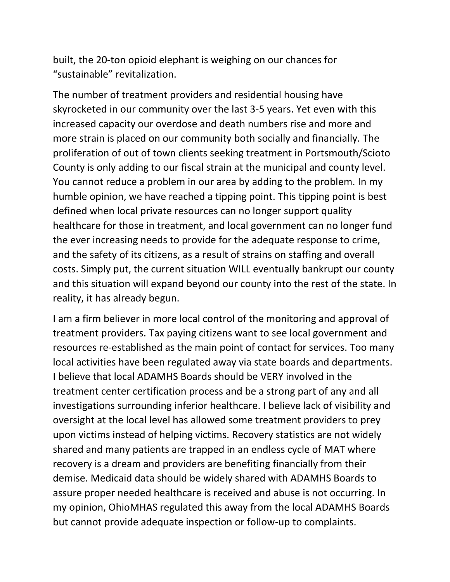built, the 20-ton opioid elephant is weighing on our chances for "sustainable" revitalization.

The number of treatment providers and residential housing have skyrocketed in our community over the last 3-5 years. Yet even with this increased capacity our overdose and death numbers rise and more and more strain is placed on our community both socially and financially. The proliferation of out of town clients seeking treatment in Portsmouth/Scioto County is only adding to our fiscal strain at the municipal and county level. You cannot reduce a problem in our area by adding to the problem. In my humble opinion, we have reached a tipping point. This tipping point is best defined when local private resources can no longer support quality healthcare for those in treatment, and local government can no longer fund the ever increasing needs to provide for the adequate response to crime, and the safety of its citizens, as a result of strains on staffing and overall costs. Simply put, the current situation WILL eventually bankrupt our county and this situation will expand beyond our county into the rest of the state. In reality, it has already begun.

I am a firm believer in more local control of the monitoring and approval of treatment providers. Tax paying citizens want to see local government and resources re-established as the main point of contact for services. Too many local activities have been regulated away via state boards and departments. I believe that local ADAMHS Boards should be VERY involved in the treatment center certification process and be a strong part of any and all investigations surrounding inferior healthcare. I believe lack of visibility and oversight at the local level has allowed some treatment providers to prey upon victims instead of helping victims. Recovery statistics are not widely shared and many patients are trapped in an endless cycle of MAT where recovery is a dream and providers are benefiting financially from their demise. Medicaid data should be widely shared with ADAMHS Boards to assure proper needed healthcare is received and abuse is not occurring. In my opinion, OhioMHAS regulated this away from the local ADAMHS Boards but cannot provide adequate inspection or follow-up to complaints.